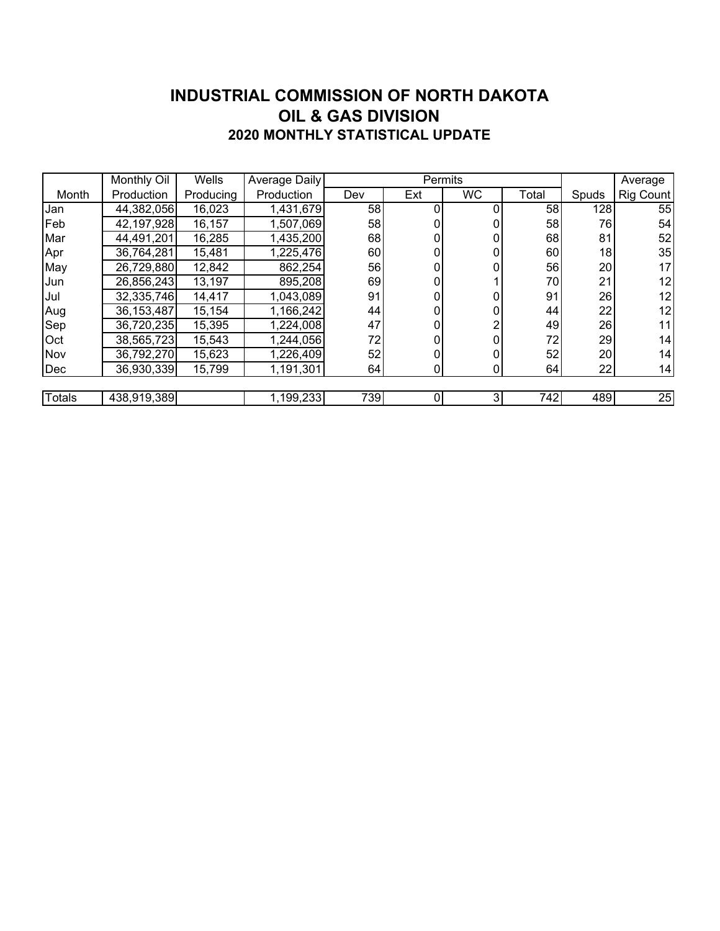### **INDUSTRIAL COMMISSION OF NORTH DAKOTA 2020 MONTHLY STATISTICAL UPDATE OIL & GAS DIVISION**

|        | Monthly Oil  | Wells     | Average Daily          |     | Permits |             |       | Average |           |
|--------|--------------|-----------|------------------------|-----|---------|-------------|-------|---------|-----------|
| Month  | Production   | Producing | Production             | Dev | Ext     | <b>WC</b>   | Total | Spuds   | Rig Count |
| Jan    | 44,382,056   | 16,023    | 1,431,679              | 58  |         |             | 58    | 128     | 55        |
| Feb    | 42,197,928   | 16,157    | 1,507,069              | 58  | 0       |             | 58    | 76      | 54        |
| Mar    | 44,491,201   | 16,285    | 1,435,200              | 68  | 0       |             | 68    | 81      | 52        |
| Apr    | 36,764,281   | 15,481    | 1,225,476              | 60  | 0       |             | 60    | 18      | 35        |
| May    | 26,729,880   | 12,842    | 862,254                | 56  | 0       |             | 56    | 20      | 17        |
| Jun    | 26,856,243   | 13,197    | 895,208                | 69  |         |             | 70    | 21      | 12        |
| Jul    | 32,335,746   | 14,417    | 1,043,089              | 91  | 0       |             | 91    | 26      | 12        |
| Aug    | 36, 153, 487 | 15,154    | 1,166,242              | 44  | 0       |             | 44    | 22      | 12        |
| Sep    | 36,720,235   | 15,395    | 1,224,008              | 47  | 0       |             | 49    | 26      | 11        |
| Oct    | 38,565,723   | 15,543    | 1,244,056              | 72  | 0       |             | 72    | 29      | 14        |
| Nov    | 36,792,270   | 15,623    | 1,226,409              | 52  |         |             | 52    | 20      | 14        |
| Dec    | 36,930,339   | 15,799    | $\overline{1,191},301$ | 64  | 0       | $\mathbf 0$ | 64    | 22      | 14        |
|        |              |           |                        |     |         |             |       |         |           |
| Totals | 438,919,389  |           | 1,199,233              | 739 | 0       | 3           | 742   | 489     | 25        |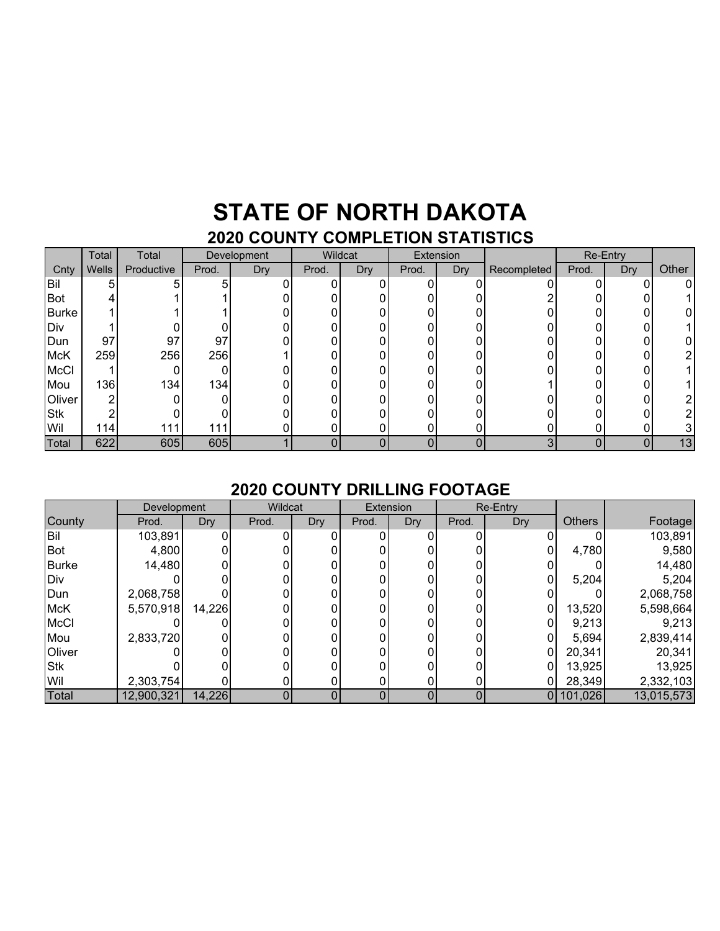### **STATE OF NORTH DAKOTA 2020 COUNTY COMPLETION STATISTICS**

| . <b>.</b>  |       |            |       |                    |       |         |       |           |             |       |                 |       |
|-------------|-------|------------|-------|--------------------|-------|---------|-------|-----------|-------------|-------|-----------------|-------|
|             | Total | Total      |       | <b>Development</b> |       | Wildcat |       | Extension |             |       | <b>Re-Entry</b> |       |
| Cnty        | Wells | Productive | Prod. | Dry                | Prod. | Dry     | Prod. | Dry       | Recompleted | Prod. | Dry             | Other |
| Bil         | 5     | 5          | 5     |                    |       |         | O     |           |             |       |                 | 0     |
| Bot         |       |            |       |                    |       |         |       |           |             |       |                 |       |
| Burke       |       |            |       |                    |       |         |       |           |             |       |                 |       |
| Div         |       |            |       |                    |       |         |       |           |             |       |                 |       |
| Dun         | 97    | 97         | 97    |                    |       |         |       |           |             |       |                 |       |
| <b>McK</b>  | 259   | 256        | 256   |                    |       |         | ი     |           |             |       |                 | 2     |
| <b>McCl</b> |       | 0          |       |                    |       |         |       |           |             |       |                 |       |
| Mou         | 136   | 134        | 134   |                    |       |         |       |           |             |       |                 |       |
| Oliver      | ⌒     |            |       |                    |       |         |       |           |             |       |                 | 2     |
| <b>Stk</b>  |       |            |       |                    |       |         |       |           |             |       |                 | 2     |
| Wil         | 114   | 111        | 111   |                    |       |         | 0     |           | 0           | O     |                 |       |
| Total       | 622   | 605        | 605   |                    |       | 0       | 0     | 0         | 3           | 0     | 0               | 13    |

#### **2020 COUNTY DRILLING FOOTAGE**

|              | <b>Development</b> |            | Wildcat |     | Extension |     | <b>Re-Entry</b> |            |               |            |
|--------------|--------------------|------------|---------|-----|-----------|-----|-----------------|------------|---------------|------------|
| County       | Prod.              | <b>Dry</b> | Prod.   | Dry | Prod.     | Dry | Prod.           | <b>Dry</b> | <b>Others</b> | Footage    |
| <b>Bil</b>   | 103,891            |            |         |     |           |     |                 |            |               | 103,891    |
| Bot          | 4,800              |            |         |     |           |     |                 |            | 4,780         | 9,580      |
| <b>Burke</b> | 14,480             |            |         |     |           |     |                 |            |               | 14,480     |
| Div          |                    |            |         |     |           |     |                 |            | 5,204         | 5,204      |
| Dun          | 2,068,758          |            |         |     |           |     |                 |            |               | 2,068,758  |
| <b>McK</b>   | 5,570,918          | 14,226     |         |     |           |     |                 | 0          | 13,520        | 5,598,664  |
| <b>McCl</b>  |                    |            |         |     |           |     |                 |            | 9,213         | 9,213      |
| Mou          | 2,833,720          |            |         |     |           |     |                 |            | 5,694         | 2,839,414  |
| Oliver       |                    |            |         |     |           |     |                 |            | 20,341        | 20,341     |
| <b>Stk</b>   |                    |            |         |     |           |     |                 |            | 13,925        | 13,925     |
| Wil          | 2,303,754          |            |         |     |           |     |                 |            | 28,349        | 2,332,103  |
| Total        | 12,900,321         | 14,226     |         |     |           |     |                 | 0 I        | 101,026       | 13,015,573 |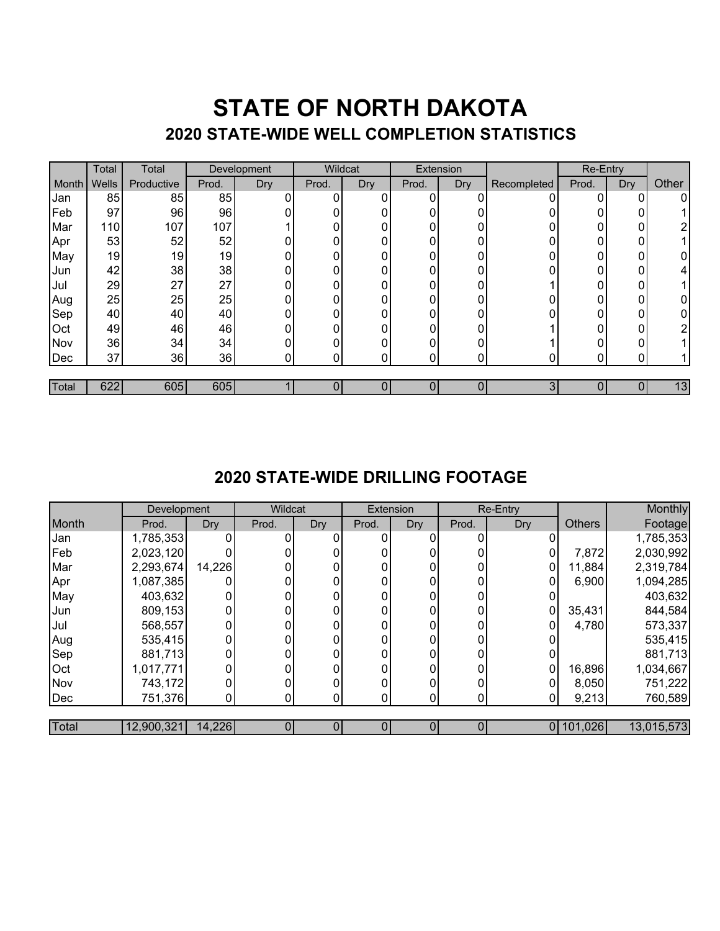## **STATE OF NORTH DAKOTA 2020 STATE-WIDE WELL COMPLETION STATISTICS**

|       | Total | Total      | Development |     | Wildcat |     | Extension      |     | Re-Entry    |            |                  |       |
|-------|-------|------------|-------------|-----|---------|-----|----------------|-----|-------------|------------|------------------|-------|
| Month | Wells | Productive | Prod.       | Dry | Prod.   | Dry | Prod.          | Dry | Recompleted | Prod.      | Dry <sup>7</sup> | Other |
| Jan   | 85    | 85         | 85          |     | 0       | 0   | $\overline{0}$ |     |             | U          | 0                | 0     |
| Feb   | 97    | 96         | 96          |     |         |     | 0              |     |             |            |                  |       |
| Mar   | 110   | 107        | 107         |     | ი       | ი   | 0              | U   |             | U          | 0                | າ     |
| Apr   | 53    | 52         | 52          |     | Ω       |     | 0              |     |             | N          | 0                |       |
| May   | 19    | 19         | 19          | 0   |         |     | 0              | 0   |             |            | Ω                | 0     |
| Jun   | 42    | 38         | 38          |     | Ω       | ი   | $\overline{0}$ | U   |             | U          | 0                | 4     |
| Jul   | 29    | 27         | 27          |     | 0       |     | 0              |     |             | n          | በ                |       |
| Aug   | 25    | 25         | 25          |     | ი       | 0   | 0              |     |             | 0          | 0                | 0     |
| Sep   | 40    | 40         | 40          |     |         |     | 0              | U   |             | $^{\circ}$ | 0                | 0     |
| Oct   | 49    | 46         | 46          |     | በ       |     | $\Omega$       | ∩   |             | ∩          | 0                | ⌒     |
| Nov   | 36    | 34         | 34          |     |         |     | 0              |     |             |            |                  |       |
| Dec   | 37    | 36         | 36          | 0   | 0       | 0   | $\mathbf{0}$   | 0   |             | $\Omega$   | 0                |       |
|       |       |            |             |     |         |     |                |     |             |            |                  |       |
| Total | 622   | 605        | 605         |     |         |     |                | 0   | 3           |            |                  | 13    |

### **2020 STATE-WIDE DRILLING FOOTAGE**

|            | <b>Development</b> |            | Wildcat |     |       | Extension | Re-Entry |            |               | Monthly    |
|------------|--------------------|------------|---------|-----|-------|-----------|----------|------------|---------------|------------|
| Month      | Prod.              | <b>Dry</b> | Prod.   | Dry | Prod. | Dry       | Prod.    | <b>Dry</b> | <b>Others</b> | Footage    |
| Jan        | 1,785,353          |            |         |     | 0     |           |          |            |               | 1,785,353  |
| Feb        | 2,023,120          |            |         |     |       |           |          |            | 7,872         | 2,030,992  |
| Mar        | 2,293,674          | 14,226     |         |     |       |           |          | 0          | 11,884        | 2,319,784  |
| Apr        | 1,087,385          |            |         |     |       |           | 0        | 0          | 6,900         | 1,094,285  |
| May        | 403,632            |            |         |     |       |           | 0        |            |               | 403,632    |
| Jun        | 809,153            |            |         |     |       |           |          |            | 35,431        | 844,584    |
| Jul        | 568,557            | 0          |         |     |       |           | 0        |            | 4,780         | 573,337    |
| Aug        | 535,415            |            |         |     |       |           | 0        |            |               | 535,415    |
| Sep        | 881,713            |            |         |     |       |           |          |            |               | 881,713    |
| <b>Oct</b> | 1,017,771          |            |         |     |       |           | 0        | 0          | 16,896        | 1,034,667  |
| Nov        | 743,172            |            |         |     |       |           | O        |            | 8,050         | 751,222    |
| Dec        | 751,376            | 0          | 0.      |     |       |           |          |            | 9,213         | 760,589    |
|            |                    |            |         |     |       |           |          |            |               |            |
| Total      | 12,900,321         | 14,226     |         |     |       |           | 0        |            | 0 101,026     | 13,015,573 |